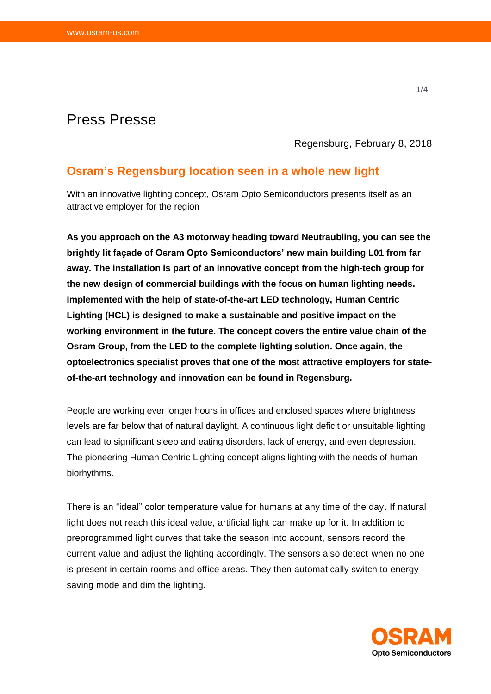# Press Presse

Regensburg, February 8, 2018

## **Osram's Regensburg location seen in a whole new light**

With an innovative lighting concept, Osram Opto Semiconductors presents itself as an attractive employer for the region

**As you approach on the A3 motorway heading toward Neutraubling, you can see the brightly lit façade of Osram Opto Semiconductors' new main building L01 from far away. The installation is part of an innovative concept from the high-tech group for the new design of commercial buildings with the focus on human lighting needs. Implemented with the help of state-of-the-art LED technology, Human Centric Lighting (HCL) is designed to make a sustainable and positive impact on the working environment in the future. The concept covers the entire value chain of the Osram Group, from the LED to the complete lighting solution. Once again, the optoelectronics specialist proves that one of the most attractive employers for stateof-the-art technology and innovation can be found in Regensburg.**

People are working ever longer hours in offices and enclosed spaces where brightness levels are far below that of natural daylight. A continuous light deficit or unsuitable lighting can lead to significant sleep and eating disorders, lack of energy, and even depression. The pioneering Human Centric Lighting concept aligns lighting with the needs of human biorhythms.

There is an "ideal" color temperature value for humans at any time of the day. If natural light does not reach this ideal value, artificial light can make up for it. In addition to preprogrammed light curves that take the season into account, sensors record the current value and adjust the lighting accordingly. The sensors also detect when no one is present in certain rooms and office areas. They then automatically switch to energysaving mode and dim the lighting.

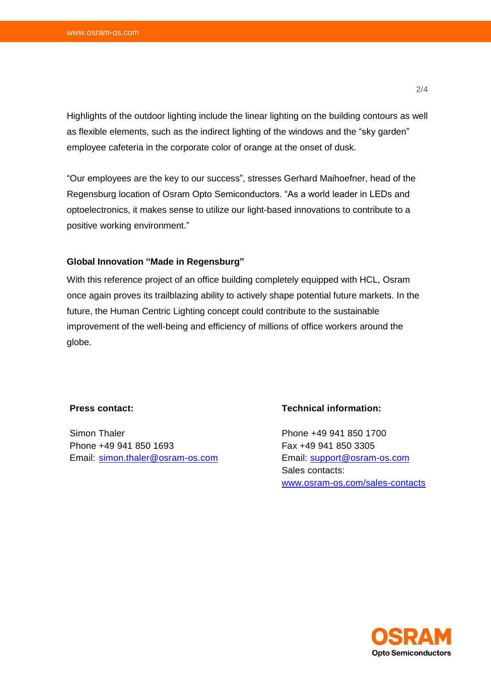Highlights of the outdoor lighting include the linear lighting on the building contours as well as flexible elements, such as the indirect lighting of the windows and the "sky garden" employee cafeteria in the corporate color of orange at the onset of dusk.

"Our employees are the key to our success", stresses Gerhard Maihoefner, head of the Regensburg location of Osram Opto Semiconductors. "As a world leader in LEDs and optoelectronics, it makes sense to utilize our light-based innovations to contribute to a positive working environment."

#### **Global Innovation "Made in Regensburg"**

With this reference project of an office building completely equipped with HCL, Osram once again proves its trailblazing ability to actively shape potential future markets. In the future, the Human Centric Lighting concept could contribute to the sustainable improvement of the well-being and efficiency of millions of office workers around the globe.

#### **Press contact:**

Simon Thaler Phone +49 941 850 1693 Email: [simon.thaler@osram-os.com](mailto:simon.thaler@osram-os.com)

#### **Technical information:**

Phone +49 941 850 1700 Fax +49 941 850 3305 Email: [support@osram-os.com](mailto:support@osram-os.com) Sales contacts: [www.osram-os.com/sales-contacts](http://www.osram-os.com/sales-contacts)

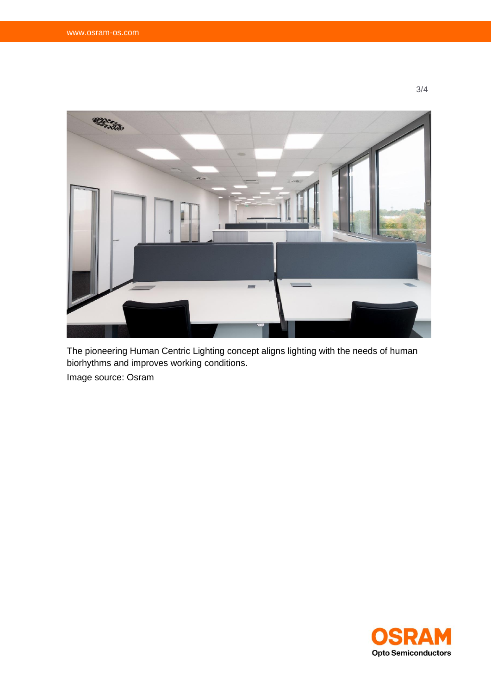

The pioneering Human Centric Lighting concept aligns lighting with the needs of human biorhythms and improves working conditions. Image source: Osram



3/4